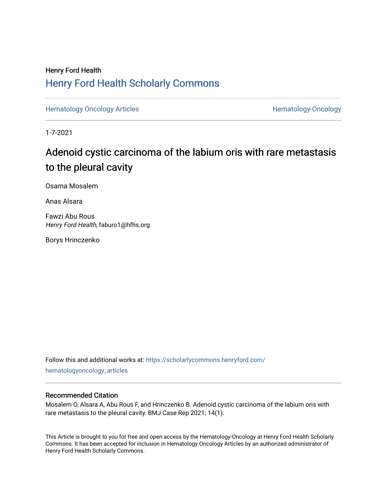### Henry Ford Health [Henry Ford Health Scholarly Commons](https://scholarlycommons.henryford.com/)

[Hematology Oncology Articles](https://scholarlycommons.henryford.com/hematologyoncology_articles) **Hematology-Oncology** 

1-7-2021

## Adenoid cystic carcinoma of the labium oris with rare metastasis to the pleural cavity

Osama Mosalem

Anas Alsara

Fawzi Abu Rous Henry Ford Health, faburo1@hfhs.org

Borys Hrinczenko

Follow this and additional works at: [https://scholarlycommons.henryford.com/](https://scholarlycommons.henryford.com/hematologyoncology_articles?utm_source=scholarlycommons.henryford.com%2Fhematologyoncology_articles%2F171&utm_medium=PDF&utm_campaign=PDFCoverPages) [hematologyoncology\\_articles](https://scholarlycommons.henryford.com/hematologyoncology_articles?utm_source=scholarlycommons.henryford.com%2Fhematologyoncology_articles%2F171&utm_medium=PDF&utm_campaign=PDFCoverPages)

#### Recommended Citation

Mosalem O, Alsara A, Abu Rous F, and Hrinczenko B. Adenoid cystic carcinoma of the labium oris with rare metastasis to the pleural cavity. BMJ Case Rep 2021; 14(1).

This Article is brought to you for free and open access by the Hematology-Oncology at Henry Ford Health Scholarly Commons. It has been accepted for inclusion in Hematology Oncology Articles by an authorized administrator of Henry Ford Health Scholarly Commons.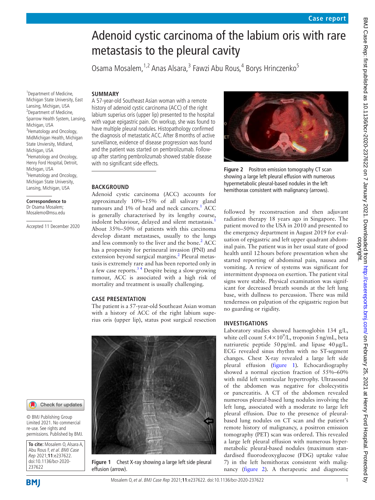# Adenoid cystic carcinoma of the labium oris with rare metastasis to the pleural cavity

Osama Mosalem, <sup>1,2</sup> Anas Alsara, <sup>3</sup> Fawzi Abu Rous, <sup>4</sup> Borys Hrinczenko<sup>5</sup>

#### **SUMMARY**

<sup>1</sup> Department of Medicine, Michigan State University, East Lansing, Michigan, USA <sup>2</sup>Department of Medicine, Sparrow Health System, Lansing, Michigan, USA <sup>3</sup> Hematology and Oncology, MidMichigan Health, Michigan State Unviersity, Midland, Michigan, USA 4 Hematology and Oncology, Henry Ford Hospital, Detroit, Michigan, USA <sup>5</sup>Hematology and Oncology, Michigan State University, Lansing, Michigan, USA

**Correspondence to** Dr Osama Mosalem; Mosalemo@msu.edu

Accepted 11 December 2020

A 57-year-old Southeast Asian woman with a remote history of adenoid cystic carcinoma (ACC) of the right labium superius oris (upper lip) presented to the hospital with vague epigastric pain. On workup, she was found to have multiple pleural nodules. Histopathology confirmed the diagnosis of metastatic ACC. After 8months of active surveillance, evidence of disease progression was found and the patient was started on pembrolizumab. Followup after starting pembrolizumab showed stable disease with no significant side effects.

#### **BACKGROUND**

Adenoid cystic carcinoma (ACC) accounts for approximately 10%–15% of all salivary gland tumours and [1](#page-3-0)% of head and neck cancers.<sup>1</sup> ACC is generally characterised by its lengthy course, indolent behaviour, delayed and silent metastasis.<sup>[1](#page-3-0)</sup> About 35%–50% of patients with this carcinoma develop distant metastases, usually to the lungs and less commonly to the liver and the bone. $^{2}$  $^{2}$  $^{2}$  ACC has a propensity for perineural invasion (PNI) and extension beyond surgical margins.<sup>2</sup> Pleural metastasis is extremely rare and has been reported only in a few case reports.<sup>34</sup> Despite being a slow-growing tumour, ACC is associated with a high risk of mortality and treatment is usually challenging.

#### **CASE PRESENTATION**

The patient is a 57-year-old Southeast Asian woman with a history of ACC of the right labium superius oris (upper lip), status post surgical resection



**Figure 1** Chest X-ray showing a large left side pleural effusion (arrow).



**Figure 2** Positron emission tomography CT scan showing a large left pleural effusion with numerous hypermetabolic pleural-based nodules in the left hemithorax consistent with malignancy (arrows).

<span id="page-1-1"></span>followed by reconstruction and then adjuvant radiation therapy 18 years ago in Singapore. The patient moved to the USA in 2010 and presented to the emergency department in August 2019 for evaluation of epigastric and left upper quadrant abdominal pain. The patient was in her usual state of good health until 12hours before presentation when she started reporting of abdominal pain, nausea and vomiting. A review of systems was significant for intermittent dyspnoea on exertion. The patient vital signs were stable. Physical examination was significant for decreased breath sounds at the left lung base, with dullness to percussion. There was mild tenderness on palpation of the epigastric region but no guarding or rigidity.

#### **INVESTIGATIONS**

Laboratory studies showed haemoglobin 134 g/L, white cell count  $5.4 \times 10^9$ /L, troponin 5 ng/mL, beta natriuretic peptide 50 pg/mL and lipase 40 µg/L. ECG revealed sinus rhythm with no ST-segment changes. Chest X-ray revealed a large left side pleural effusion [\(figure](#page-1-0) 1)*.* Echocardiography showed a normal ejection fraction of 55%–60% with mild left ventricular hypertrophy. Ultrasound of the abdomen was negative for cholecystitis or pancreatitis. A CT of the abdomen revealed numerous pleural-based lung nodules involving the left lung, associated with a moderate to large left pleural effusion. Due to the presence of pleuralbased lung nodules on CT scan and the patient's remote history of malignancy, a positron emission tomography (PET) scan was ordered. This revealed a large left pleural effusion with numerous hypermetabolic pleural-based nodules (maximum standardised fluorodeoxyglucose (FDG) uptake value 7) in the left hemithorax consistent with malignancy [\(figure](#page-1-1) 2)*.* A therapeutic and diagnostic

**BMI** 

237622

<span id="page-1-0"></span>**To cite:** Mosalem O, Alsara A, Abu Rous F, et al. BMJ Case Rep 2021;**11**:e237622. doi:10.1136/bcr-2020-

Check for updates

© BMJ Publishing Group Limited 2021. No commercial re-use. See rights and permissions. Published by BMJ.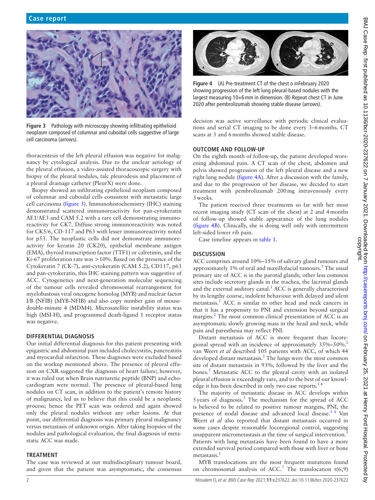

**Figure 3** Pathology with microscopy showing infiltrating epithelioid neoplasm composed of columnar and cuboidal cells suggestive of large cell carcinoma (arrows).

<span id="page-2-0"></span>thoracentesis of the left pleural effusion was negative for malignancy by cytological analysis. Due to the unclear aetiology of the pleural effusion, a video-assisted thoracoscopic surgery with biopsy of the pleural nodules, talc pleurodesis and placement of a pleural drainage catheter (PleurX) were done.

Biopsy showed an infiltrating epithelioid neoplasm composed of columnar and cuboidal cells consistent with metastatic large cell carcinoma [\(figure](#page-2-0) 3). Immunohistochemistry (IHC) staining demonstrated scattered immunoreactivity for pan-cytokeratin AE1/AE3 and CAM 5.2 with a rare cell demonstrating immunoreactivity for CK7. Diffuse strong immunoreactivity was noted for CK5/6, CD-117 and P63 with lesser immunoreactivity noted for p53. The neoplastic cells did not demonstrate immunoreactivity for keratin 20 (CK20), epithelial membrane antigen (EMA), thyroid transcription factor (TTF1) or calretinin, and the Ki-67 proliferation rate was >10%. Based on the presence of the Cytokeratin 7 (CK-7), anti-cytokeratin (CAM 5.2), CD117, p63 and pan-cytokeratin, this IHC staining pattern was suggestive of ACC. Cytogenetics and next-generation molecular sequencing of the tumour cells revealed chromosomal rearrangement for myelobastosis viral oncogene homolog (MYB) and nuclear factor I/B (NFIB) (MYB-NFIB) and also copy number gain of mousedouble-minute 4 (MDM4). Microsatellite instability status was high (MSI-H), and programmed death-ligand 1 receptor status was negative.

#### **DIFFERENTIAL DIAGNOSIS**

Our initial differential diagnosis for this patient presenting with epigastric and abdominal pain included cholecystitis, pancreatitis and myocardial infarction. These diagnoses were excluded based on the workup mentioned above. The presence of pleural effusion on CXR suggested the diagnosis of heart failure; however, it was ruled out when Brain natriuretic peptide (BNP) and echocardiogram were normal. The presence of pleural-based lung nodules on CT scan, in addition to the patient's remote history of malignancy, led us to believe that this could be a neoplastic process; hence the PET scan was ordered and again showed only the pleural nodules without any other lesions. At that point, our differential diagnosis was primary pleural malignancy versus metastasis of unknown origin. After taking biopsies of the nodules and pathological evaluation, the final diagnosis of metastatic ACC was made.

#### **TREATMENT**

The case was reviewed at our multidisciplinary tumour board, and given that the patient was asymptomatic, the consensus



<span id="page-2-1"></span>**Figure 4** (A) Pre-treatment CT of the chest o inFebruary 2020 showing progression of the left lung pleural-based nodules with the largest measuring 10×6mm in dimension. (B) Repeat chest CT in June 2020 after pembrolizumab showing stable disease (arrows).

decision was active surveillance with periodic clinical evaluations and serial CT imaging to be done every 3–6months. CT scans at 3 and 6months showed stable disease.

#### **OUTCOME AND FOLLOW-UP**

On the eighth month of follow-up, the patient developed worsening abdominal pain. A CT scan of the chest, abdomen and pelvis showed progression of the left pleural disease and a new right lung nodule [\(figure](#page-2-1) 4A). After a discussion with the family, and due to the progression of her disease, we decided to start treatment with pembrolizumab 200mg intravenously every 3weeks.

The patient received three treatments so far with her most recent imaging study (CT scan of the chest) at 2 and 4months of follow-up showed stable appearance of the lung nodules ([figure](#page-2-1) 4B). Clinically, she is doing well only with intermittent left-sided lower rib pain.

Case timeline appears in [table](#page-3-3) 1.

#### **DISCUSSION**

ACC comprises around 10%–15% of salivary gland tumours and approximately 1% of oral and maxillofacial tumours.<sup>1</sup> The usual primary site of ACC is in the parotid glands; other less common sites include secretory glands in the trachea, the lacrimal glands and the external auditory canal. $<sup>1</sup>$  $<sup>1</sup>$  $<sup>1</sup>$  ACC is generally characterised</sup> by its lengthy course, indolent behaviour with delayed and silent metastasis.<sup>[1](#page-3-0)</sup> ACC is similar to other head and neck cancers in that it has a propensity to PNI and extension beyond surgical margins.<sup>[2](#page-3-1)</sup> The most common clinical presentation of ACC is an asymptomatic slowly growing mass in the head and neck, while pain and paresthesia may reflect PNI.

Distant metastasis of ACC is more frequent than locore-gional spread with an incidence of approximately 35%–50%.<sup>[2](#page-3-1)</sup> van Weert *et al* described 105 patients with ACC, of which 44 developed distant metastasis.<sup>[5](#page-3-4)</sup> The lungs were the most common site of distant metastasis in 93%, followed by the liver and the bones.<sup>[5](#page-3-4)</sup> Metastatic ACC to the pleural cavity with an isolated pleural effusion is exceedingly rare, and to the best of our knowledge it has been described in only two case reports.<sup>3</sup>

The majority of metastatic disease in ACC develops within  $5$  years of diagnosis.<sup>5</sup> The mechanism for the spread of ACC is believed to be related to positive tumour margins, PNI, the presence of nodal disease and advanced local disease.<sup>[5 6](#page-3-4)</sup> Van Weert *et al* also reported that distant metastasis occurred in some cases despite reasonable locoregional control, suggesting unapparent micrometastasis at the time of surgical intervention.<sup>[5](#page-3-4)</sup> Patients with lung metastasis have been found to have a more extended survival period compared with those with liver or bone metastasis.<sup>[1](#page-3-0)</sup>

MYB translocations are the most frequent mutations found on chromosomal analysis of ACC.<sup>[7](#page-3-5)</sup> The translocation  $t(6,9)$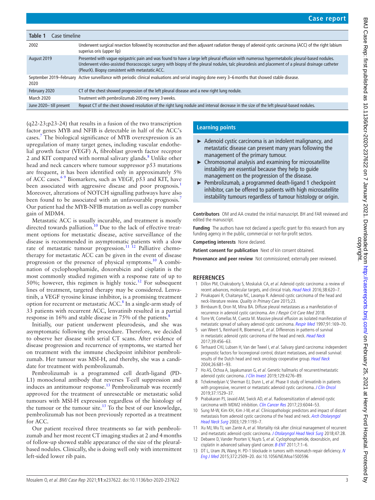<span id="page-3-3"></span>

| Table 1<br>Case timeline |                                                                                                                                                                                                                                                                                                                                                      |
|--------------------------|------------------------------------------------------------------------------------------------------------------------------------------------------------------------------------------------------------------------------------------------------------------------------------------------------------------------------------------------------|
| 2002                     | Underwent surgical resection followed by reconstruction and then adjuvant radiation therapy of adenoid cystic carcinoma (ACC) of the right labium<br>superius oris (upper lip)                                                                                                                                                                       |
| August 2019              | Presented with vague epigastric pain and was found to have a large left pleural effusion with numerous hypermetabolic pleural-based nodules.<br>Underwent video-assisted thoracoscopic surgery with biopsy of the pleural nodules, talc pleurodesis and placement of a pleural drainage catheter<br>(PleurX). Biopsy consistent with metastatic ACC. |
| 2020                     | September 2019–February Active surveillance with periodic clinical evaluations and serial imaging done every 3–6 months that showed stable disease.                                                                                                                                                                                                  |
| February 2020            | CT of the chest showed progression of the left pleural disease and a new right lung nodule.                                                                                                                                                                                                                                                          |
| <b>March 2020</b>        | Treatment with pembrolizumab 200 mg every 3 weeks.                                                                                                                                                                                                                                                                                                   |
| June 2020-till present   | Repeat CT of the chest showed resolution of the right lung nodule and interval decrease in the size of the left pleural-based nodules.                                                                                                                                                                                                               |

(q22-23;p23-24) that results in a fusion of the two transcription factor genes MYB and NFIB is detectable in half of the ACC's cases.[7](#page-3-5) The biological significance of MYB overexpression is an upregulation of many target genes, including vascular endothelial growth factor (VEGF) A, fibroblast growth factor receptor 2 and KIT compared with normal salivary glands.<sup>8</sup> Unlike other head and neck cancers where tumour suppressor p53 mutations are frequent, it has been identified only in approximately 5% of ACC cases.<sup>69</sup> Biomarkers, such as VEGF, p53 and KIT, have been associated with aggressive disease and poor prognosis.<sup>[1](#page-3-0)</sup> Moreover, alterations of NOTCH signalling pathways have also been found to be associated with an unfavourable prognosis.<sup>[7](#page-3-5)</sup> Our patient had the MYB-NFIB mutation as well as copy number gain of MDM4.

Metastatic ACC is usually incurable, and treatment is mostly directed towards palliation.<sup>[10](#page-3-8)</sup> Due to the lack of effective treatment options for metastatic disease, active surveillance of the disease is recommended in asymptomatic patients with a slow rate of metastatic tumour progression.<sup>11 12</sup> Palliative chemotherapy for metastatic ACC can be given in the event of disease progression or the presence of physical symptoms.[10](#page-3-8) A combination of cyclophosphamide, doxorubicin and cisplatin is the most commonly studied regimen with a response rate of up to 50%; however, this regimen is highly toxic[.12](#page-3-10) For subsequent lines of treatment, targeted therapy may be considered. Lenvatinib, a VEGF tyrosine kinase inhibitor, is a promising treatment option for recurrent or metastatic ACC. $\rm{^{8}}$  $\rm{^{8}}$  $\rm{^{8}}$  In a single-arm study of 33 patients with recurrent ACC, lenvatinib resulted in a partial response in 16% and stable disease in 75% of the patients.<sup>8</sup>

Initially, our patient underwent pleurodesis, and she was asymptomatic following the procedure. Therefore, we decided to observe her disease with serial CT scans. After evidence of disease progression and recurrence of symptoms, we started her on treatment with the immune checkpoint inhibitor pembrolizumab. Her tumour was MSI-H, and thereby, she was a candidate for treatment with pembrolizumab.

Pembrolizumab is a programmed cell death-ligand (PD-L1) monoclonal antibody that reverses T-cell suppression and induces an antitumour response.<sup>[13](#page-3-11)</sup> Pembrolizumab was recently approved for the treatment of unresectable or metastatic solid tumours with MSI-H expression regardless of the histology of the tumour or the tumour site. $13$  To the best of our knowledge, pembrolizumab has not been previously reported as a treatment for ACC.

Our patient received three treatments so far with pembrolizumab and her most recent CT imaging studies at 2 and 4months of follow-up showed stable appearance of the size of the pleuralbased nodules. Clinically, she is doing well only with intermittent left-sided lower rib pain.

#### **Learning points**

- ► Adenoid cystic carcinoma is an indolent malignancy, and metastatic disease can present many years following the management of the primary tumour.
- ► Chromosomal analysis and examining for microsatellite instability are essential because they help to guide management on the progression of the disease.
- ► Pembrolizumab, a programmed death-ligand 1 checkpoint inhibitor, can be offered to patients with high microsatellite instability tumours regardless of tumour histology or origin.

**Contributors** OM and AA created the initial manuscript. BH and FAR reviewed and edited the manuscript.

**Funding** The authors have not declared a specific grant for this research from any funding agency in the public, commercial or not-for-profit sectors.

**Competing interests** None declared.

**Patient consent for publication** Next of kin consent obtained.

**Provenance and peer review** Not commissioned; externally peer reviewed.

#### **REFERENCES**

- <span id="page-3-0"></span>1 Dillon PM, Chakraborty S, Moskaluk CA, et al. Adenoid cystic carcinoma: a review of recent advances, molecular targets, and clinical trials. [Head Neck](http://dx.doi.org/10.1002/hed.23925) 2016;38:620–7.
- <span id="page-3-1"></span>2 Pinakapani R, Chaitanya NC, Lavanya R. Adenoid cystic carcinoma of the head and neck-literature review. Quality in Primary Care 2015;23.
- <span id="page-3-2"></span>3 Birnbaum B, Oron M, Mina BA. Diffuse pleural metastases as a manifestation of recurrence in adenoid cystic carcinoma. Am J Respir Crit Care Med 2018.
- 4 Torre W, Comellas M, Cuesta M. Massive pleural effusion as isolated manifestation of metastatic spread of salivary adenoid cystic carcinoma. [Respir Med](http://dx.doi.org/10.1016/S0954-6111(97)90053-6) 1997;91:169-70.
- <span id="page-3-4"></span>5 van Weert S, Reinhard R, Bloemena E, et al. Differences in patterns of survival in metastatic adenoid cystic carcinoma of the head and neck. [Head Neck](http://dx.doi.org/10.1002/hed.24613) 2017;39:456–63.
- <span id="page-3-7"></span>6 Terhaard CHJ, Lubsen H, Van der Tweel I, et al. Salivary gland carcinoma: independent prognostic factors for locoregional control, distant metastases, and overall survival: results of the Dutch head and neck oncology cooperative group. [Head Neck](http://dx.doi.org/10.1002/hed.10400) 2004;26:681–93.
- <span id="page-3-5"></span>7 Ho AS, Ochoa A, Jayakumaran G, et al. Genetic hallmarks of recurrent/metastatic adenoid cystic carcinoma. [J Clin Invest](http://dx.doi.org/10.1172/JCI128227) 2019;129:4276-89
- <span id="page-3-6"></span>8 Tchekmedyian V, Sherman EJ, Dunn L, et al. Phase II study of lenvatinib in patients with progressive, recurrent or metastatic adenoid cystic carcinoma. *[J Clin Oncol](http://dx.doi.org/10.1200/JCO.18.01859)* 2019;37:1529–37.
- 9 Prabakaran PJ, Javaid AM, Swick AD, et al. Radiosensitization of adenoid cystic carcinoma with MDM2 inhibition. [Clin Cancer Res](http://dx.doi.org/10.1158/1078-0432.CCR-17-0969) 2017;23:6044-53.
- <span id="page-3-8"></span>10 Sung M-W, Kim KH, Kim J-W, et al. Clinicopathologic predictors and impact of distant metastasis from adenoid cystic carcinoma of the head and neck. Arch Otolaryngol [Head Neck Surg](http://dx.doi.org/10.1001/archotol.129.11.1193) 2003;129:1193–7.
- <span id="page-3-9"></span>11 Xu MJ, Wu TJ, van Zante A, et al. Mortality risk after clinical management of recurrent and metastatic adenoid cystic carcinoma. [J Otolaryngol Head Neck Surg](http://dx.doi.org/10.1186/s40463-018-0273-z) 2018;47:28.
- <span id="page-3-10"></span>12 Debaere D, Vander Poorten V, Nuyts S, et al. Cyclophosphamide, doxorubicin, and cisplatin in advanced salivary gland cancer. [B-ENT](http://www.ncbi.nlm.nih.gov/pubmed/http://www.ncbi.nlm.nih.gov/pubmed/21563549) 2011;7:1–6.
- <span id="page-3-11"></span>13 DT L, Uram JN, Wang H. PD-1 blockade in tumors with mismatch-repair deficiency. N [Eng J Med](http://dx.doi.org/10.1056/NEJMoa1500596) 2015;372:2509–20. doi:10.1056/NEJMoa1500596